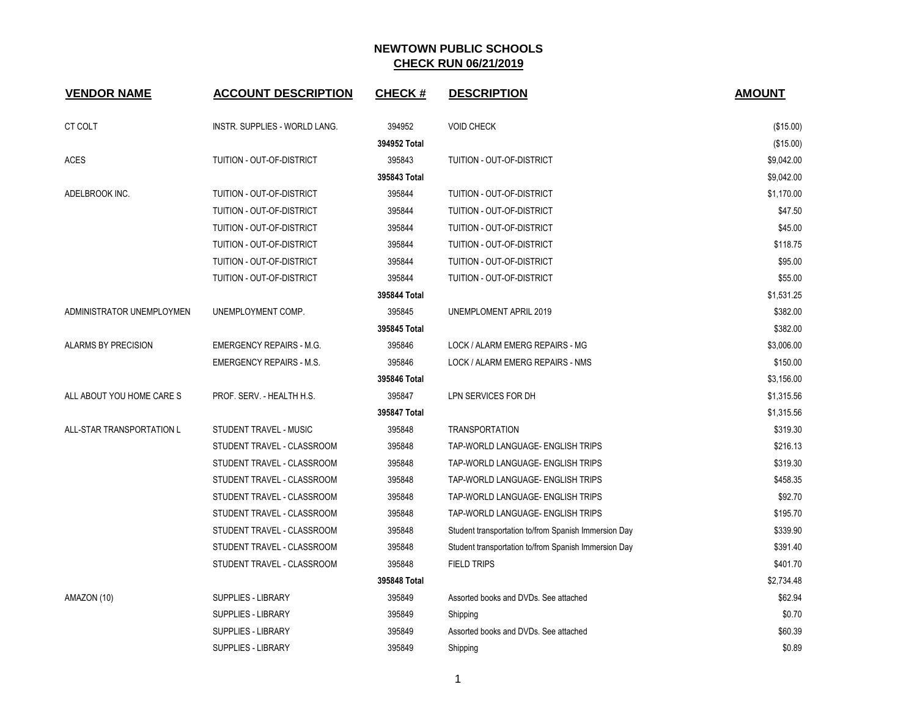| <b>VENDOR NAME</b>         | <b>ACCOUNT DESCRIPTION</b>      | <b>CHECK#</b> | <b>DESCRIPTION</b>                                   | <b>AMOUNT</b> |
|----------------------------|---------------------------------|---------------|------------------------------------------------------|---------------|
| CT COLT                    | INSTR. SUPPLIES - WORLD LANG.   | 394952        | <b>VOID CHECK</b>                                    | (\$15.00)     |
|                            |                                 | 394952 Total  |                                                      | (\$15.00)     |
| <b>ACES</b>                | TUITION - OUT-OF-DISTRICT       | 395843        | TUITION - OUT-OF-DISTRICT                            | \$9,042.00    |
|                            |                                 | 395843 Total  |                                                      | \$9,042.00    |
| ADELBROOK INC.             | TUITION - OUT-OF-DISTRICT       | 395844        | TUITION - OUT-OF-DISTRICT                            | \$1,170.00    |
|                            | TUITION - OUT-OF-DISTRICT       | 395844        | TUITION - OUT-OF-DISTRICT                            | \$47.50       |
|                            | TUITION - OUT-OF-DISTRICT       | 395844        | TUITION - OUT-OF-DISTRICT                            | \$45.00       |
|                            | TUITION - OUT-OF-DISTRICT       | 395844        | TUITION - OUT-OF-DISTRICT                            | \$118.75      |
|                            | TUITION - OUT-OF-DISTRICT       | 395844        | <b>TUITION - OUT-OF-DISTRICT</b>                     | \$95.00       |
|                            | TUITION - OUT-OF-DISTRICT       | 395844        | TUITION - OUT-OF-DISTRICT                            | \$55.00       |
|                            |                                 | 395844 Total  |                                                      | \$1,531.25    |
| ADMINISTRATOR UNEMPLOYMEN  | UNEMPLOYMENT COMP.              | 395845        | UNEMPLOMENT APRIL 2019                               | \$382.00      |
|                            |                                 | 395845 Total  |                                                      | \$382.00      |
| <b>ALARMS BY PRECISION</b> | <b>EMERGENCY REPAIRS - M.G.</b> | 395846        | LOCK / ALARM EMERG REPAIRS - MG                      | \$3,006.00    |
|                            | <b>EMERGENCY REPAIRS - M.S.</b> | 395846        | LOCK / ALARM EMERG REPAIRS - NMS                     | \$150.00      |
|                            |                                 | 395846 Total  |                                                      | \$3,156.00    |
| ALL ABOUT YOU HOME CARE S  | PROF. SERV. - HEALTH H.S.       | 395847        | LPN SERVICES FOR DH                                  | \$1,315.56    |
|                            |                                 | 395847 Total  |                                                      | \$1,315.56    |
| ALL-STAR TRANSPORTATION L  | STUDENT TRAVEL - MUSIC          | 395848        | <b>TRANSPORTATION</b>                                | \$319.30      |
|                            | STUDENT TRAVEL - CLASSROOM      | 395848        | TAP-WORLD LANGUAGE- ENGLISH TRIPS                    | \$216.13      |
|                            | STUDENT TRAVEL - CLASSROOM      | 395848        | TAP-WORLD LANGUAGE- ENGLISH TRIPS                    | \$319.30      |
|                            | STUDENT TRAVEL - CLASSROOM      | 395848        | TAP-WORLD LANGUAGE- ENGLISH TRIPS                    | \$458.35      |
|                            | STUDENT TRAVEL - CLASSROOM      | 395848        | TAP-WORLD LANGUAGE- ENGLISH TRIPS                    | \$92.70       |
|                            | STUDENT TRAVEL - CLASSROOM      | 395848        | TAP-WORLD LANGUAGE- ENGLISH TRIPS                    | \$195.70      |
|                            | STUDENT TRAVEL - CLASSROOM      | 395848        | Student transportation to/from Spanish Immersion Day | \$339.90      |
|                            | STUDENT TRAVEL - CLASSROOM      | 395848        | Student transportation to/from Spanish Immersion Day | \$391.40      |
|                            | STUDENT TRAVEL - CLASSROOM      | 395848        | <b>FIELD TRIPS</b>                                   | \$401.70      |
|                            |                                 | 395848 Total  |                                                      | \$2,734.48    |
| AMAZON (10)                | <b>SUPPLIES - LIBRARY</b>       | 395849        | Assorted books and DVDs. See attached                | \$62.94       |
|                            | <b>SUPPLIES - LIBRARY</b>       | 395849        | Shipping                                             | \$0.70        |
|                            | <b>SUPPLIES - LIBRARY</b>       | 395849        | Assorted books and DVDs. See attached                | \$60.39       |
|                            | SUPPLIES - LIBRARY              | 395849        | Shipping                                             | \$0.89        |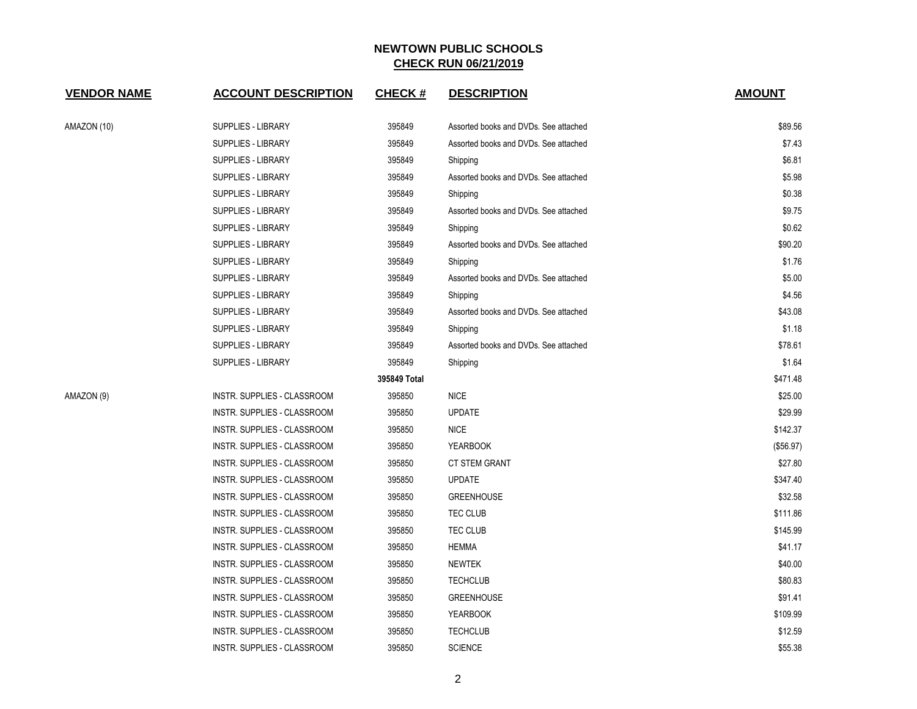| <b>VENDOR NAME</b> | <b>ACCOUNT DESCRIPTION</b>         | <b>CHECK#</b> | <b>DESCRIPTION</b>                    | <b>AMOUNT</b> |
|--------------------|------------------------------------|---------------|---------------------------------------|---------------|
| AMAZON (10)        | <b>SUPPLIES - LIBRARY</b>          | 395849        | Assorted books and DVDs. See attached | \$89.56       |
|                    | SUPPLIES - LIBRARY                 | 395849        | Assorted books and DVDs. See attached | \$7.43        |
|                    | <b>SUPPLIES - LIBRARY</b>          | 395849        | Shipping                              | \$6.81        |
|                    | <b>SUPPLIES - LIBRARY</b>          | 395849        | Assorted books and DVDs. See attached | \$5.98        |
|                    | <b>SUPPLIES - LIBRARY</b>          | 395849        | Shipping                              | \$0.38        |
|                    | <b>SUPPLIES - LIBRARY</b>          | 395849        | Assorted books and DVDs. See attached | \$9.75        |
|                    | <b>SUPPLIES - LIBRARY</b>          | 395849        | Shipping                              | \$0.62        |
|                    | <b>SUPPLIES - LIBRARY</b>          | 395849        | Assorted books and DVDs. See attached | \$90.20       |
|                    | <b>SUPPLIES - LIBRARY</b>          | 395849        | Shipping                              | \$1.76        |
|                    | SUPPLIES - LIBRARY                 | 395849        | Assorted books and DVDs. See attached | \$5.00        |
|                    | <b>SUPPLIES - LIBRARY</b>          | 395849        | Shipping                              | \$4.56        |
|                    | <b>SUPPLIES - LIBRARY</b>          | 395849        | Assorted books and DVDs. See attached | \$43.08       |
|                    | <b>SUPPLIES - LIBRARY</b>          | 395849        | Shipping                              | \$1.18        |
|                    | <b>SUPPLIES - LIBRARY</b>          | 395849        | Assorted books and DVDs. See attached | \$78.61       |
|                    | <b>SUPPLIES - LIBRARY</b>          | 395849        | Shipping                              | \$1.64        |
|                    |                                    | 395849 Total  |                                       | \$471.48      |
| AMAZON (9)         | INSTR. SUPPLIES - CLASSROOM        | 395850        | <b>NICE</b>                           | \$25.00       |
|                    | INSTR. SUPPLIES - CLASSROOM        | 395850        | <b>UPDATE</b>                         | \$29.99       |
|                    | INSTR. SUPPLIES - CLASSROOM        | 395850        | <b>NICE</b>                           | \$142.37      |
|                    | <b>INSTR. SUPPLIES - CLASSROOM</b> | 395850        | <b>YEARBOOK</b>                       | (\$56.97)     |
|                    | INSTR. SUPPLIES - CLASSROOM        | 395850        | <b>CT STEM GRANT</b>                  | \$27.80       |
|                    | INSTR. SUPPLIES - CLASSROOM        | 395850        | <b>UPDATE</b>                         | \$347.40      |
|                    | INSTR. SUPPLIES - CLASSROOM        | 395850        | <b>GREENHOUSE</b>                     | \$32.58       |
|                    | INSTR. SUPPLIES - CLASSROOM        | 395850        | TEC CLUB                              | \$111.86      |
|                    | INSTR. SUPPLIES - CLASSROOM        | 395850        | TEC CLUB                              | \$145.99      |
|                    | INSTR. SUPPLIES - CLASSROOM        | 395850        | <b>HEMMA</b>                          | \$41.17       |
|                    | <b>INSTR. SUPPLIES - CLASSROOM</b> | 395850        | <b>NEWTEK</b>                         | \$40.00       |
|                    | INSTR. SUPPLIES - CLASSROOM        | 395850        | <b>TECHCLUB</b>                       | \$80.83       |
|                    | INSTR. SUPPLIES - CLASSROOM        | 395850        | <b>GREENHOUSE</b>                     | \$91.41       |
|                    | INSTR. SUPPLIES - CLASSROOM        | 395850        | <b>YEARBOOK</b>                       | \$109.99      |
|                    | INSTR. SUPPLIES - CLASSROOM        | 395850        | <b>TECHCLUB</b>                       | \$12.59       |
|                    | INSTR. SUPPLIES - CLASSROOM        | 395850        | <b>SCIENCE</b>                        | \$55.38       |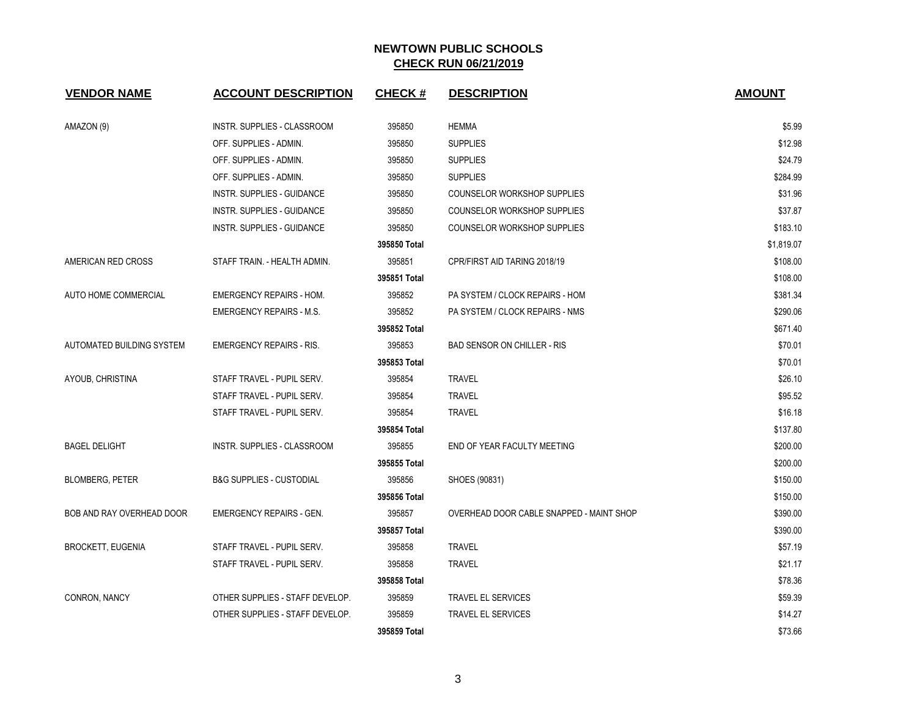| <b>VENDOR NAME</b>        | <b>ACCOUNT DESCRIPTION</b>          | <b>CHECK#</b> | <b>DESCRIPTION</b>                       | <b>AMOUNT</b> |
|---------------------------|-------------------------------------|---------------|------------------------------------------|---------------|
| AMAZON (9)                | <b>INSTR. SUPPLIES - CLASSROOM</b>  | 395850        | <b>HEMMA</b>                             | \$5.99        |
|                           | OFF. SUPPLIES - ADMIN.              | 395850        | <b>SUPPLIES</b>                          | \$12.98       |
|                           | OFF. SUPPLIES - ADMIN.              | 395850        | <b>SUPPLIES</b>                          | \$24.79       |
|                           | OFF. SUPPLIES - ADMIN.              | 395850        | <b>SUPPLIES</b>                          | \$284.99      |
|                           | <b>INSTR. SUPPLIES - GUIDANCE</b>   | 395850        | <b>COUNSELOR WORKSHOP SUPPLIES</b>       | \$31.96       |
|                           | INSTR. SUPPLIES - GUIDANCE          | 395850        | <b>COUNSELOR WORKSHOP SUPPLIES</b>       | \$37.87       |
|                           | <b>INSTR. SUPPLIES - GUIDANCE</b>   | 395850        | <b>COUNSELOR WORKSHOP SUPPLIES</b>       | \$183.10      |
|                           |                                     | 395850 Total  |                                          | \$1,819.07    |
| AMERICAN RED CROSS        | STAFF TRAIN. - HEALTH ADMIN.        | 395851        | CPR/FIRST AID TARING 2018/19             | \$108.00      |
|                           |                                     | 395851 Total  |                                          | \$108.00      |
| AUTO HOME COMMERCIAL      | <b>EMERGENCY REPAIRS - HOM.</b>     | 395852        | PA SYSTEM / CLOCK REPAIRS - HOM          | \$381.34      |
|                           | <b>EMERGENCY REPAIRS - M.S.</b>     | 395852        | PA SYSTEM / CLOCK REPAIRS - NMS          | \$290.06      |
|                           |                                     | 395852 Total  |                                          | \$671.40      |
| AUTOMATED BUILDING SYSTEM | <b>EMERGENCY REPAIRS - RIS.</b>     | 395853        | <b>BAD SENSOR ON CHILLER - RIS</b>       | \$70.01       |
|                           |                                     | 395853 Total  |                                          | \$70.01       |
| AYOUB, CHRISTINA          | STAFF TRAVEL - PUPIL SERV.          | 395854        | <b>TRAVEL</b>                            | \$26.10       |
|                           | STAFF TRAVEL - PUPIL SERV.          | 395854        | <b>TRAVEL</b>                            | \$95.52       |
|                           | STAFF TRAVEL - PUPIL SERV.          | 395854        | <b>TRAVEL</b>                            | \$16.18       |
|                           |                                     | 395854 Total  |                                          | \$137.80      |
| <b>BAGEL DELIGHT</b>      | INSTR. SUPPLIES - CLASSROOM         | 395855        | END OF YEAR FACULTY MEETING              | \$200.00      |
|                           |                                     | 395855 Total  |                                          | \$200.00      |
| <b>BLOMBERG, PETER</b>    | <b>B&amp;G SUPPLIES - CUSTODIAL</b> | 395856        | SHOES (90831)                            | \$150.00      |
|                           |                                     | 395856 Total  |                                          | \$150.00      |
| BOB AND RAY OVERHEAD DOOR | <b>EMERGENCY REPAIRS - GEN.</b>     | 395857        | OVERHEAD DOOR CABLE SNAPPED - MAINT SHOP | \$390.00      |
|                           |                                     | 395857 Total  |                                          | \$390.00      |
| <b>BROCKETT, EUGENIA</b>  | STAFF TRAVEL - PUPIL SERV.          | 395858        | <b>TRAVEL</b>                            | \$57.19       |
|                           | STAFF TRAVEL - PUPIL SERV.          | 395858        | <b>TRAVEL</b>                            | \$21.17       |
|                           |                                     | 395858 Total  |                                          | \$78.36       |
| CONRON, NANCY             | OTHER SUPPLIES - STAFF DEVELOP.     | 395859        | <b>TRAVEL EL SERVICES</b>                | \$59.39       |
|                           | OTHER SUPPLIES - STAFF DEVELOP.     | 395859        | <b>TRAVEL EL SERVICES</b>                | \$14.27       |
|                           |                                     | 395859 Total  |                                          | \$73.66       |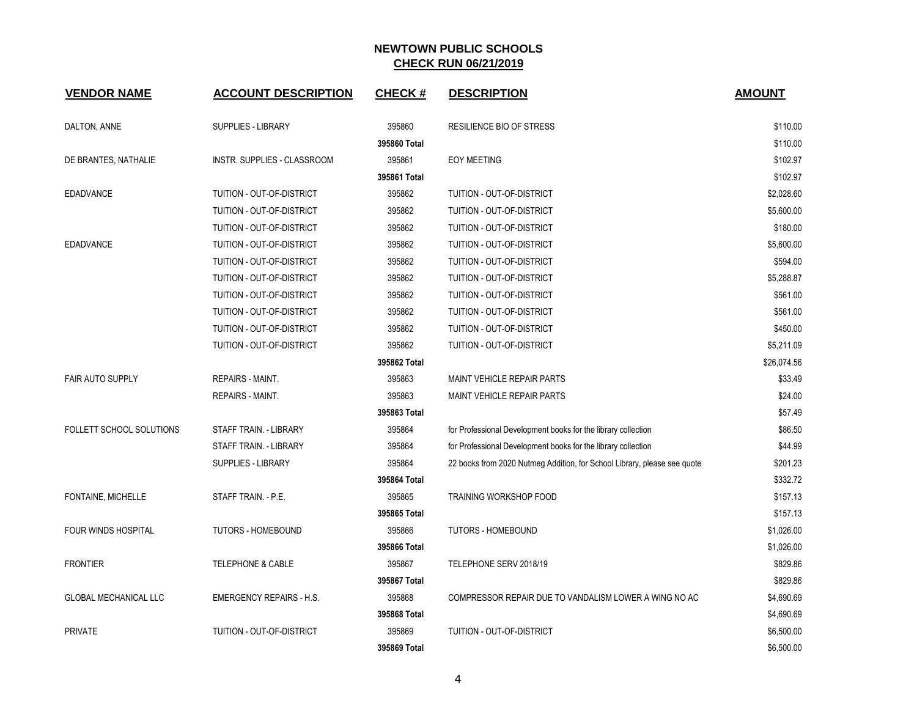| <b>VENDOR NAME</b>           | <b>ACCOUNT DESCRIPTION</b>      | <b>CHECK#</b> | <b>DESCRIPTION</b>                                                       | <b>AMOUNT</b> |
|------------------------------|---------------------------------|---------------|--------------------------------------------------------------------------|---------------|
| DALTON, ANNE                 | SUPPLIES - LIBRARY              | 395860        | RESILIENCE BIO OF STRESS                                                 | \$110.00      |
|                              |                                 | 395860 Total  |                                                                          | \$110.00      |
| DE BRANTES, NATHALIE         | INSTR. SUPPLIES - CLASSROOM     | 395861        | <b>EOY MEETING</b>                                                       | \$102.97      |
|                              |                                 | 395861 Total  |                                                                          | \$102.97      |
| <b>EDADVANCE</b>             | TUITION - OUT-OF-DISTRICT       | 395862        | TUITION - OUT-OF-DISTRICT                                                | \$2,028.60    |
|                              | TUITION - OUT-OF-DISTRICT       | 395862        | TUITION - OUT-OF-DISTRICT                                                | \$5,600.00    |
|                              | TUITION - OUT-OF-DISTRICT       | 395862        | TUITION - OUT-OF-DISTRICT                                                | \$180.00      |
| <b>EDADVANCE</b>             | TUITION - OUT-OF-DISTRICT       | 395862        | TUITION - OUT-OF-DISTRICT                                                | \$5,600.00    |
|                              | TUITION - OUT-OF-DISTRICT       | 395862        | TUITION - OUT-OF-DISTRICT                                                | \$594.00      |
|                              | TUITION - OUT-OF-DISTRICT       | 395862        | TUITION - OUT-OF-DISTRICT                                                | \$5,288.87    |
|                              | TUITION - OUT-OF-DISTRICT       | 395862        | TUITION - OUT-OF-DISTRICT                                                | \$561.00      |
|                              | TUITION - OUT-OF-DISTRICT       | 395862        | TUITION - OUT-OF-DISTRICT                                                | \$561.00      |
|                              | TUITION - OUT-OF-DISTRICT       | 395862        | TUITION - OUT-OF-DISTRICT                                                | \$450.00      |
|                              | TUITION - OUT-OF-DISTRICT       | 395862        | TUITION - OUT-OF-DISTRICT                                                | \$5,211.09    |
|                              |                                 | 395862 Total  |                                                                          | \$26,074.56   |
| <b>FAIR AUTO SUPPLY</b>      | <b>REPAIRS - MAINT.</b>         | 395863        | <b>MAINT VEHICLE REPAIR PARTS</b>                                        | \$33.49       |
|                              | <b>REPAIRS - MAINT.</b>         | 395863        | <b>MAINT VEHICLE REPAIR PARTS</b>                                        | \$24.00       |
|                              |                                 | 395863 Total  |                                                                          | \$57.49       |
| FOLLETT SCHOOL SOLUTIONS     | STAFF TRAIN. - LIBRARY          | 395864        | for Professional Development books for the library collection            | \$86.50       |
|                              | STAFF TRAIN. - LIBRARY          | 395864        | for Professional Development books for the library collection            | \$44.99       |
|                              | <b>SUPPLIES - LIBRARY</b>       | 395864        | 22 books from 2020 Nutmeg Addition, for School Library, please see quote | \$201.23      |
|                              |                                 | 395864 Total  |                                                                          | \$332.72      |
| FONTAINE, MICHELLE           | STAFF TRAIN. - P.E.             | 395865        | TRAINING WORKSHOP FOOD                                                   | \$157.13      |
|                              |                                 | 395865 Total  |                                                                          | \$157.13      |
| <b>FOUR WINDS HOSPITAL</b>   | <b>TUTORS - HOMEBOUND</b>       | 395866        | <b>TUTORS - HOMEBOUND</b>                                                | \$1,026.00    |
|                              |                                 | 395866 Total  |                                                                          | \$1,026.00    |
| <b>FRONTIER</b>              | <b>TELEPHONE &amp; CABLE</b>    | 395867        | TELEPHONE SERV 2018/19                                                   | \$829.86      |
|                              |                                 | 395867 Total  |                                                                          | \$829.86      |
| <b>GLOBAL MECHANICAL LLC</b> | <b>EMERGENCY REPAIRS - H.S.</b> | 395868        | COMPRESSOR REPAIR DUE TO VANDALISM LOWER A WING NO AC                    | \$4,690.69    |
|                              |                                 | 395868 Total  |                                                                          | \$4,690.69    |
| <b>PRIVATE</b>               | TUITION - OUT-OF-DISTRICT       | 395869        | TUITION - OUT-OF-DISTRICT                                                | \$6,500.00    |
|                              |                                 | 395869 Total  |                                                                          | \$6,500.00    |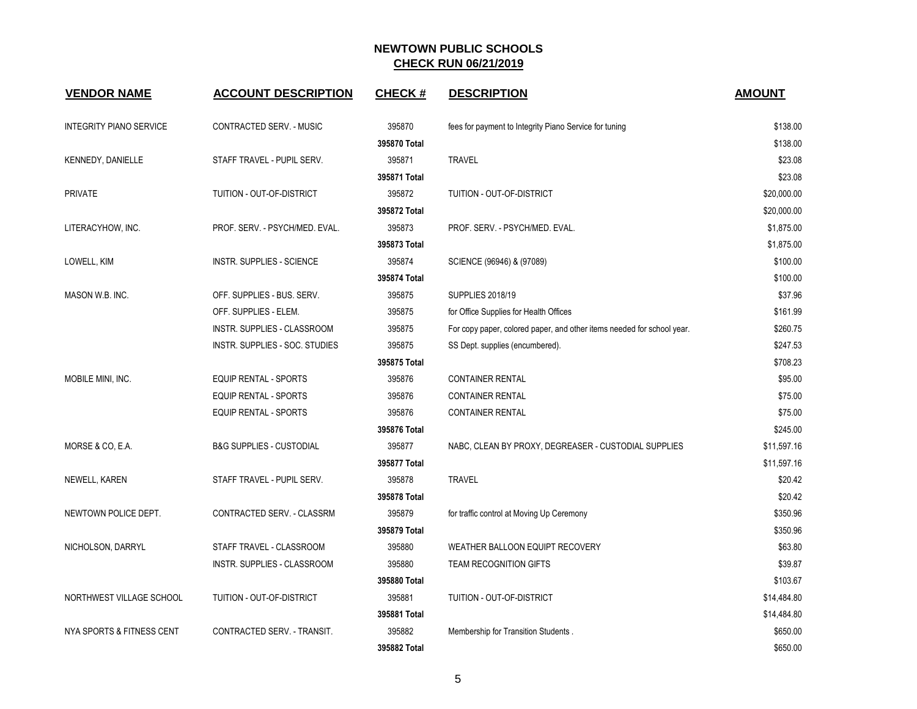| <b>VENDOR NAME</b>             | <b>ACCOUNT DESCRIPTION</b>          | <b>CHECK#</b> | <b>DESCRIPTION</b>                                                     | <b>AMOUNT</b> |
|--------------------------------|-------------------------------------|---------------|------------------------------------------------------------------------|---------------|
| <b>INTEGRITY PIANO SERVICE</b> | CONTRACTED SERV. - MUSIC            | 395870        | fees for payment to Integrity Piano Service for tuning                 | \$138.00      |
|                                |                                     | 395870 Total  |                                                                        | \$138.00      |
| KENNEDY, DANIELLE              | STAFF TRAVEL - PUPIL SERV.          | 395871        | <b>TRAVEL</b>                                                          | \$23.08       |
|                                |                                     | 395871 Total  |                                                                        | \$23.08       |
| <b>PRIVATE</b>                 | TUITION - OUT-OF-DISTRICT           | 395872        | TUITION - OUT-OF-DISTRICT                                              | \$20,000.00   |
|                                |                                     | 395872 Total  |                                                                        | \$20,000.00   |
| LITERACYHOW, INC.              | PROF. SERV. - PSYCH/MED. EVAL.      | 395873        | PROF. SERV. - PSYCH/MED. EVAL.                                         | \$1,875.00    |
|                                |                                     | 395873 Total  |                                                                        | \$1,875.00    |
| LOWELL, KIM                    | INSTR. SUPPLIES - SCIENCE           | 395874        | SCIENCE (96946) & (97089)                                              | \$100.00      |
|                                |                                     | 395874 Total  |                                                                        | \$100.00      |
| MASON W.B. INC.                | OFF. SUPPLIES - BUS. SERV.          | 395875        | <b>SUPPLIES 2018/19</b>                                                | \$37.96       |
|                                | OFF. SUPPLIES - ELEM.               | 395875        | for Office Supplies for Health Offices                                 | \$161.99      |
|                                | INSTR. SUPPLIES - CLASSROOM         | 395875        | For copy paper, colored paper, and other items needed for school year. | \$260.75      |
|                                | INSTR. SUPPLIES - SOC. STUDIES      | 395875        | SS Dept. supplies (encumbered).                                        | \$247.53      |
|                                |                                     | 395875 Total  |                                                                        | \$708.23      |
| MOBILE MINI, INC.              | <b>EQUIP RENTAL - SPORTS</b>        | 395876        | <b>CONTAINER RENTAL</b>                                                | \$95.00       |
|                                | <b>EQUIP RENTAL - SPORTS</b>        | 395876        | <b>CONTAINER RENTAL</b>                                                | \$75.00       |
|                                | EQUIP RENTAL - SPORTS               | 395876        | <b>CONTAINER RENTAL</b>                                                | \$75.00       |
|                                |                                     | 395876 Total  |                                                                        | \$245.00      |
| MORSE & CO, E.A.               | <b>B&amp;G SUPPLIES - CUSTODIAL</b> | 395877        | NABC, CLEAN BY PROXY, DEGREASER - CUSTODIAL SUPPLIES                   | \$11,597.16   |
|                                |                                     | 395877 Total  |                                                                        | \$11,597.16   |
| <b>NEWELL, KAREN</b>           | STAFF TRAVEL - PUPIL SERV.          | 395878        | <b>TRAVEL</b>                                                          | \$20.42       |
|                                |                                     | 395878 Total  |                                                                        | \$20.42       |
| NEWTOWN POLICE DEPT.           | CONTRACTED SERV. - CLASSRM          | 395879        | for traffic control at Moving Up Ceremony                              | \$350.96      |
|                                |                                     | 395879 Total  |                                                                        | \$350.96      |
| NICHOLSON, DARRYL              | STAFF TRAVEL - CLASSROOM            | 395880        | WEATHER BALLOON EQUIPT RECOVERY                                        | \$63.80       |
|                                | INSTR. SUPPLIES - CLASSROOM         | 395880        | TEAM RECOGNITION GIFTS                                                 | \$39.87       |
|                                |                                     | 395880 Total  |                                                                        | \$103.67      |
| NORTHWEST VILLAGE SCHOOL       | TUITION - OUT-OF-DISTRICT           | 395881        | TUITION - OUT-OF-DISTRICT                                              | \$14,484.80   |
|                                |                                     | 395881 Total  |                                                                        | \$14,484.80   |
| NYA SPORTS & FITNESS CENT      | CONTRACTED SERV. - TRANSIT.         | 395882        | Membership for Transition Students.                                    | \$650.00      |
|                                |                                     | 395882 Total  |                                                                        | \$650.00      |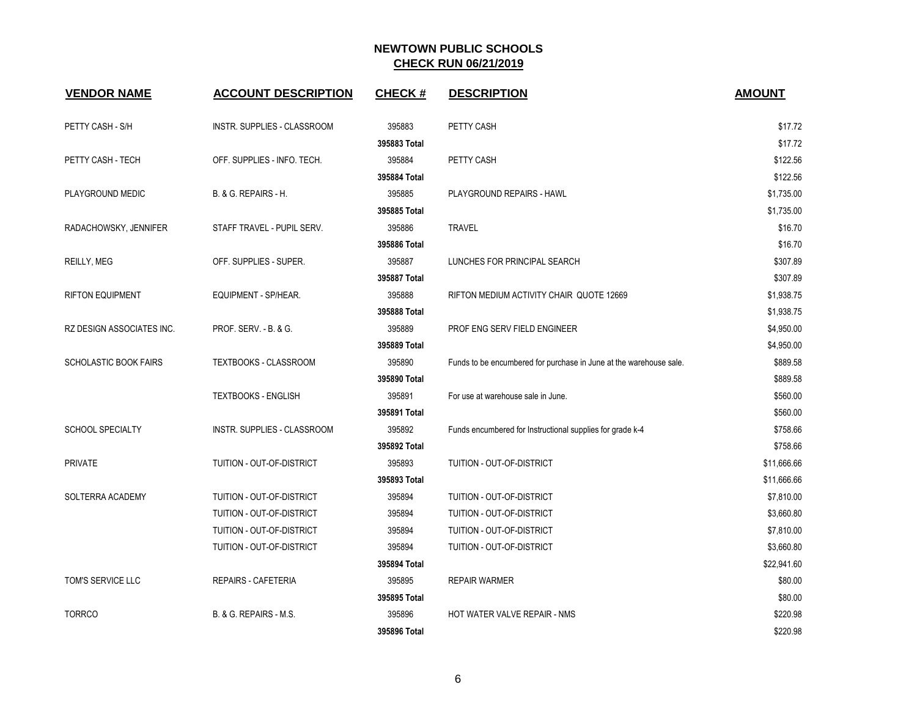| <b>VENDOR NAME</b>           | <b>ACCOUNT DESCRIPTION</b>       | <b>CHECK#</b> | <b>DESCRIPTION</b>                                                 | <b>AMOUNT</b> |
|------------------------------|----------------------------------|---------------|--------------------------------------------------------------------|---------------|
| PETTY CASH - S/H             | INSTR. SUPPLIES - CLASSROOM      | 395883        | PETTY CASH                                                         | \$17.72       |
|                              |                                  | 395883 Total  |                                                                    | \$17.72       |
| PETTY CASH - TECH            | OFF. SUPPLIES - INFO. TECH.      | 395884        | PETTY CASH                                                         | \$122.56      |
|                              |                                  | 395884 Total  |                                                                    | \$122.56      |
| PLAYGROUND MEDIC             | B. & G. REPAIRS - H.             | 395885        | PLAYGROUND REPAIRS - HAWL                                          | \$1,735.00    |
|                              |                                  | 395885 Total  |                                                                    | \$1,735.00    |
| RADACHOWSKY, JENNIFER        | STAFF TRAVEL - PUPIL SERV.       | 395886        | <b>TRAVEL</b>                                                      | \$16.70       |
|                              |                                  | 395886 Total  |                                                                    | \$16.70       |
| REILLY, MEG                  | OFF. SUPPLIES - SUPER.           | 395887        | LUNCHES FOR PRINCIPAL SEARCH                                       | \$307.89      |
|                              |                                  | 395887 Total  |                                                                    | \$307.89      |
| <b>RIFTON EQUIPMENT</b>      | EQUIPMENT - SP/HEAR.             | 395888        | RIFTON MEDIUM ACTIVITY CHAIR QUOTE 12669                           | \$1,938.75    |
|                              |                                  | 395888 Total  |                                                                    | \$1,938.75    |
| RZ DESIGN ASSOCIATES INC.    | <b>PROF. SERV. - B. &amp; G.</b> | 395889        | PROF ENG SERV FIELD ENGINEER                                       | \$4,950.00    |
|                              |                                  | 395889 Total  |                                                                    | \$4,950.00    |
| <b>SCHOLASTIC BOOK FAIRS</b> | <b>TEXTBOOKS - CLASSROOM</b>     | 395890        | Funds to be encumbered for purchase in June at the warehouse sale. | \$889.58      |
|                              |                                  | 395890 Total  |                                                                    | \$889.58      |
|                              | <b>TEXTBOOKS - ENGLISH</b>       | 395891        | For use at warehouse sale in June.                                 | \$560.00      |
|                              |                                  | 395891 Total  |                                                                    | \$560.00      |
| <b>SCHOOL SPECIALTY</b>      | INSTR. SUPPLIES - CLASSROOM      | 395892        | Funds encumbered for Instructional supplies for grade k-4          | \$758.66      |
|                              |                                  | 395892 Total  |                                                                    | \$758.66      |
| <b>PRIVATE</b>               | TUITION - OUT-OF-DISTRICT        | 395893        | TUITION - OUT-OF-DISTRICT                                          | \$11,666.66   |
|                              |                                  | 395893 Total  |                                                                    | \$11,666.66   |
| SOLTERRA ACADEMY             | TUITION - OUT-OF-DISTRICT        | 395894        | TUITION - OUT-OF-DISTRICT                                          | \$7,810.00    |
|                              | TUITION - OUT-OF-DISTRICT        | 395894        | TUITION - OUT-OF-DISTRICT                                          | \$3,660.80    |
|                              | TUITION - OUT-OF-DISTRICT        | 395894        | TUITION - OUT-OF-DISTRICT                                          | \$7,810.00    |
|                              | TUITION - OUT-OF-DISTRICT        | 395894        | TUITION - OUT-OF-DISTRICT                                          | \$3,660.80    |
|                              |                                  | 395894 Total  |                                                                    | \$22,941.60   |
| <b>TOM'S SERVICE LLC</b>     | REPAIRS - CAFETERIA              | 395895        | <b>REPAIR WARMER</b>                                               | \$80.00       |
|                              |                                  | 395895 Total  |                                                                    | \$80.00       |
| <b>TORRCO</b>                | B. & G. REPAIRS - M.S.           | 395896        | HOT WATER VALVE REPAIR - NMS                                       | \$220.98      |
|                              |                                  | 395896 Total  |                                                                    | \$220.98      |